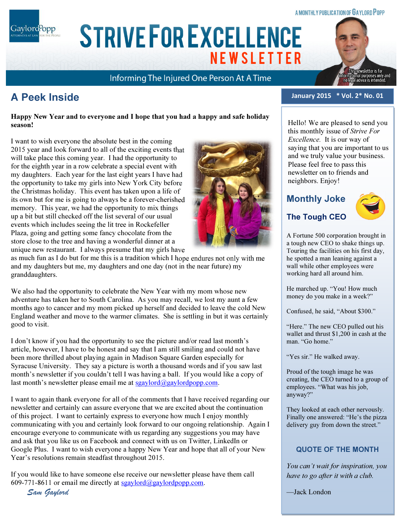#### A MONTHLY PUBLICATION OF GAYLORD POPP

Gaylord<sup>P</sup>opp

**STRIVE FOR EXCELLENCE NEWSLETTER** 

Informing The Injured One Person At A Time

# A Peek Inside

Happy New Year and to everyone and I hope that you had a happy and safe holiday season!

ARIAL 15 POINT BOLD CAPS FOR CO. NAME

I want to wish everyone the absolute best in the coming 2015 year and look forward to all of the exciting events that will take place this coming year. I had the opportunity to for the eighth year in a row celebrate a special event with my daughters. Each year for the last eight years I have had the opportunity to take my girls into New York City before the Christmas holiday. This event has taken upon a life of its own but for me is going to always be a forever-cherished memory. This year, we had the opportunity to mix things up a bit but still checked off the list several of our usual events which includes seeing the lit tree in Rockefeller Plaza, going and getting some fancy chocolate from the store close to the tree and having a wonderful dinner at a unique new restaurant. I always presume that my girls have

as much fun as I do but for me this is a tradition which I hope endures not only with me and my daughters but me, my daughters and one day (not in the near future) my granddaughters.

We also had the opportunity to celebrate the New Year with my mom whose new adventure has taken her to South Carolina. As you may recall, we lost my aunt a few months ago to cancer and my mom picked up herself and decided to leave the cold New England weather and move to the warmer climates. She is settling in but it was certainly good to visit.

I don't know if you had the opportunity to see the picture and/or read last month's article, however, I have to be honest and say that I am still smiling and could not have been more thrilled about playing again in Madison Square Garden especially for Syracuse University. They say a picture is worth a thousand words and if you saw last month's newsletter if you couldn't tell I was having a ball. If you would like a copy of last month's newsletter please email me at sgaylord $\omega$ gaylordpopp.com.

I want to again thank everyone for all of the comments that I have received regarding our newsletter and certainly can assure everyone that we are excited about the continuation of this project. I want to certainly express to everyone how much I enjoy monthly communicating with you and certainly look forward to our ongoing relationship. Again I encourage everyone to communicate with us regarding any suggestions you may have and ask that you like us on Facebook and connect with us on Twitter, LinkedIn or Google Plus. I want to wish everyone a happy New Year and hope that all of your New Year's resolutions remain steadfast throughout 2015.

If you would like to have someone else receive our newsletter please have them call 609-771-8611 or email me directly at sgaylord $\partial_{\alpha}$ gaylordpopp.com.

Sam Gaylord



January 2015 \* Vol. 2\* No. 01

Hello! We are pleased to send you this monthly issue of Strive For Excellence. It is our way of saying that you are important to us and we truly value your business. Please feel free to pass this newsletter on to friends and neighbors. Enjoy!

## Monthly Joke

# The Tough CEO



snewsletter is for<br>onal purposes only and<br>al advice is intended.

A Fortune 500 corporation brought in a tough new CEO to shake things up. Touring the facilities on his first day, he spotted a man leaning against a wall while other employees were working hard all around him.

He marched up. "You! How much money do you make in a week?"

Confused, he said, "About \$300."

"Here." The new CEO pulled out his wallet and thrust \$1,200 in cash at the man. "Go home."

"Yes sir." He walked away.

Proud of the tough image he was creating, the CEO turned to a group of employees. "What was his job, anyway?"

They looked at each other nervously. Finally one answered: "He's the pizza delivery guy from down the street."

### QUOTE OF THE MONTH

You can't wait for inspiration, you have to go after it with a club.

—Jack London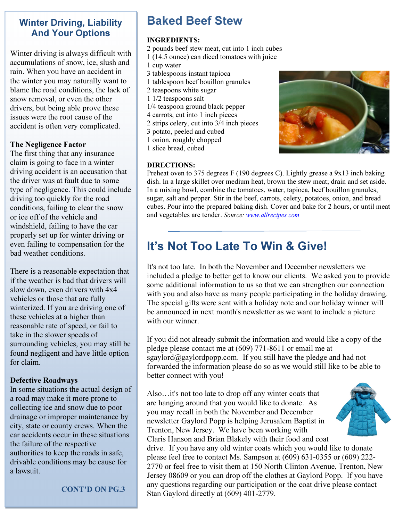## Winter Driving, Liability And Your Options

Winter driving is always difficult with accumulations of snow, ice, slush and rain. When you have an accident in the winter you may naturally want to blame the road conditions, the lack of snow removal, or even the other drivers, but being able prove these issues were the root cause of the accident is often very complicated.

### The Negligence Factor

The first thing that any insurance claim is going to face in a winter driving accident is an accusation that the driver was at fault due to some type of negligence. This could include driving too quickly for the road conditions, failing to clear the snow or ice off of the vehicle and windshield, failing to have the car properly set up for winter driving or even failing to compensation for the bad weather conditions.

There is a reasonable expectation that if the weather is bad that drivers will slow down, even drivers with 4x4 vehicles or those that are fully winterized. If you are driving one of these vehicles at a higher than reasonable rate of speed, or fail to take in the slower speeds of surrounding vehicles, you may still be found negligent and have little option for claim.

### Defective Roadways

In some situations the actual design of a road may make it more prone to collecting ice and snow due to poor drainage or improper maintenance by city, state or county crews. When the car accidents occur in these situations the failure of the respective authorities to keep the roads in safe, drivable conditions may be cause for a lawsuit.

CONT'D ON PG.3

# Baked Beef Stew

### INGREDIENTS:

- 2 pounds beef stew meat, cut into 1 inch cubes
- 1 (14.5 ounce) can diced tomatoes with juice
- 1 cup water
- 3 tablespoons instant tapioca
- 1 tablespoon beef bouillon granules
- 2 teaspoons white sugar
- 1 1/2 teaspoons salt
- 1/4 teaspoon ground black pepper
- 4 carrots, cut into 1 inch pieces
- 2 strips celery, cut into 3/4 inch pieces
- 3 potato, peeled and cubed
- 1 onion, roughly chopped
- 1 slice bread, cubed

#### DIRECTIONS:

Preheat oven to 375 degrees F (190 degrees C). Lightly grease a 9x13 inch baking dish. In a large skillet over medium heat, brown the stew meat; drain and set aside. In a mixing bowl, combine the tomatoes, water, tapioca, beef bouillon granules, sugar, salt and pepper. Stir in the beef, carrots, celery, potatoes, onion, and bread cubes. Pour into the prepared baking dish. Cover and bake for 2 hours, or until meat and vegetables are tender. Source: www.allrecipes.com

# It's Not Too Late To Win & Give!

It's not too late. In both the November and December newsletters we included a pledge to better get to know our clients. We asked you to provide some additional information to us so that we can strengthen our connection with you and also have as many people participating in the holiday drawing. The special gifts were sent with a holiday note and our holiday winner will be announced in next month's newsletter as we want to include a picture with our winner.

If you did not already submit the information and would like a copy of the pledge please contact me at (609) 771-8611 or email me at sgaylord@gaylordpopp.com. If you still have the pledge and had not forwarded the information please do so as we would still like to be able to better connect with you!

Also…it's not too late to drop off any winter coats that are hanging around that you would like to donate. As you may recall in both the November and December newsletter Gaylord Popp is helping Jerusalem Baptist in Trenton, New Jersey. We have been working with Claris Hanson and Brian Blakely with their food and coat



drive. If you have any old winter coats which you would like to donate please feel free to contact Ms. Sampson at (609) 631-0355 or (609) 222- 2770 or feel free to visit them at 150 North Clinton Avenue, Trenton, New Jersey 08609 or you can drop off the clothes at Gaylord Popp. If you have any questions regarding our participation or the coat drive please contact Stan Gaylord directly at (609) 401-2779.

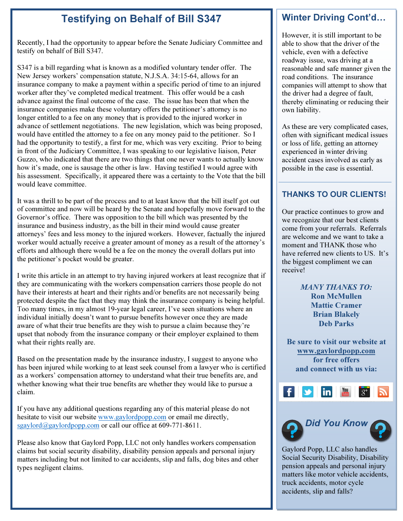## Testifying on Behalf of Bill S347

Recently, I had the opportunity to appear before the Senate Judiciary Committee and testify on behalf of Bill S347.

S347 is a bill regarding what is known as a modified voluntary tender offer. The New Jersey workers' compensation statute, N.J.S.A. 34:15-64, allows for an insurance company to make a payment within a specific period of time to an injured worker after they've completed medical treatment. This offer would be a cash advance against the final outcome of the case. The issue has been that when the insurance companies make these voluntary offers the petitioner's attorney is no longer entitled to a fee on any money that is provided to the injured worker in advance of settlement negotiations. The new legislation, which was being proposed, would have entitled the attorney to a fee on any money paid to the petitioner. So I had the opportunity to testify, a first for me, which was very exciting. Prior to being in front of the Judiciary Committee, I was speaking to our legislative liaison, Peter Guzzo, who indicated that there are two things that one never wants to actually know how it's made, one is sausage the other is law. Having testified I would agree with his assessment. Specifically, it appeared there was a certainty to the Vote that the bill would leave committee.

It was a thrill to be part of the process and to at least know that the bill itself got out of committee and now will be heard by the Senate and hopefully move forward to the Governor's office. There was opposition to the bill which was presented by the insurance and business industry, as the bill in their mind would cause greater attorneys' fees and less money to the injured workers. However, factually the injured worker would actually receive a greater amount of money as a result of the attorney's efforts and although there would be a fee on the money the overall dollars put into the petitioner's pocket would be greater.

I write this article in an attempt to try having injured workers at least recognize that if they are communicating with the workers compensation carriers those people do not have their interests at heart and their rights and/or benefits are not necessarily being protected despite the fact that they may think the insurance company is being helpful. Too many times, in my almost 19-year legal career, I've seen situations where an individual initially doesn't want to pursue benefits however once they are made aware of what their true benefits are they wish to pursue a claim because they're upset that nobody from the insurance company or their employer explained to them what their rights really are.

Based on the presentation made by the insurance industry, I suggest to anyone who has been injured while working to at least seek counsel from a lawyer who is certified as a workers' compensation attorney to understand what their true benefits are, and whether knowing what their true benefits are whether they would like to pursue a claim.

If you have any additional questions regarding any of this material please do not hesitate to visit our website www.gaylordpopp.com or email me directly, sgaylord@gaylordpopp.com or call our office at  $609-771-8611$ .

Please also know that Gaylord Popp, LLC not only handles workers compensation claims but social security disability, disability pension appeals and personal injury matters including but not limited to car accidents, slip and falls, dog bites and other types negligent claims.

## Winter Driving Cont'd

However, it is still important to be able to show that the driver of the vehicle, even with a defective roadway issue, was driving at a reasonable and safe manner given the road conditions. The insurance companies will attempt to show that the driver had a degree of fault, thereby eliminating or reducing their own liability.

As these are very complicated cases, often with significant medical issues or loss of life, getting an attorney experienced in winter driving accident cases involved as early as possible in the case is essential.

### THANKS TO OUR CLIENTS!

Our practice continues to grow and we recognize that our best clients come from your referrals. Referrals are welcome and we want to take a moment and THANK those who have referred new clients to US. It's the biggest compliment we can receive!

> MANY THANKS TO: Ron McMullen Mattie Cramer Brian Blakely Deb Parks

Be sure to visit our website at www.gaylordpopp.com for free offers and connect with us via:





Gaylord Popp, LLC also handles Social Security Disability, Disability pension appeals and personal injury matters like motor vehicle accidents, truck accidents, motor cycle accidents, slip and falls?